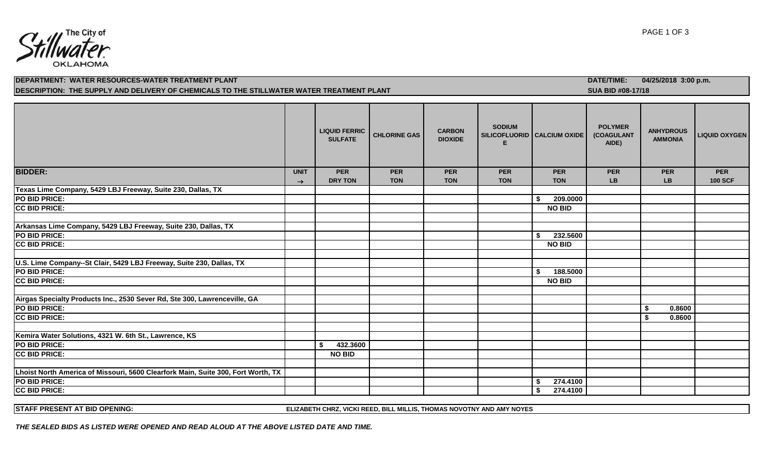

# **DEPARTMENT: WATER RESOURCES-WATER TREATMENT PLANT DATE/TIME: 04/25/2018 3:00 p.m.** DESCRIPTION: THE SUPPLY AND DELIVERY OF CHEMICALS TO THE STILLWATER WATER TREATMENT PLANT<br>
SUA BID #08-17/18

|                                                                                  |               | <b>LIQUID FERRIC</b><br><b>SULFATE</b> | <b>CHLORINE GAS</b> | <b>CARBON</b><br><b>DIOXIDE</b> | <b>SODIUM</b> | SILICOFLUORID   CALCIUM OXIDE | <b>POLYMER</b><br>(COAGULANT<br>AIDE) | <b>ANHYDROUS</b><br><b>AMMONIA</b> | <b>LIQUID OXYGEN</b> |
|----------------------------------------------------------------------------------|---------------|----------------------------------------|---------------------|---------------------------------|---------------|-------------------------------|---------------------------------------|------------------------------------|----------------------|
| <b>BIDDER:</b>                                                                   | <b>UNIT</b>   | <b>PER</b>                             | <b>PER</b>          | <b>PER</b>                      | <b>PER</b>    | <b>PER</b>                    | <b>PER</b>                            | <b>PER</b>                         | <b>PER</b>           |
|                                                                                  | $\rightarrow$ | <b>DRY TON</b>                         | <b>TON</b>          | <b>TON</b>                      | <b>TON</b>    | <b>TON</b>                    | <b>LB</b>                             | <b>LB</b>                          | <b>100 SCF</b>       |
| Texas Lime Company, 5429 LBJ Freeway, Suite 230, Dallas, TX                      |               |                                        |                     |                                 |               |                               |                                       |                                    |                      |
| PO BID PRICE:                                                                    |               |                                        |                     |                                 |               | 209.0000<br>-S                |                                       |                                    |                      |
| <b>CC BID PRICE:</b>                                                             |               |                                        |                     |                                 |               | <b>NO BID</b>                 |                                       |                                    |                      |
|                                                                                  |               |                                        |                     |                                 |               |                               |                                       |                                    |                      |
| Arkansas Lime Company, 5429 LBJ Freeway, Suite 230, Dallas, TX                   |               |                                        |                     |                                 |               |                               |                                       |                                    |                      |
| PO BID PRICE:                                                                    |               |                                        |                     |                                 |               | 232.5600<br>\$                |                                       |                                    |                      |
| <b>CC BID PRICE:</b>                                                             |               |                                        |                     |                                 |               | <b>NO BID</b>                 |                                       |                                    |                      |
|                                                                                  |               |                                        |                     |                                 |               |                               |                                       |                                    |                      |
| U.S. Lime Company--St Clair, 5429 LBJ Freeway, Suite 230, Dallas, TX             |               |                                        |                     |                                 |               |                               |                                       |                                    |                      |
| PO BID PRICE:                                                                    |               |                                        |                     |                                 |               | 188.5000<br>\$                |                                       |                                    |                      |
| <b>CC BID PRICE:</b>                                                             |               |                                        |                     |                                 |               | <b>NO BID</b>                 |                                       |                                    |                      |
|                                                                                  |               |                                        |                     |                                 |               |                               |                                       |                                    |                      |
| Airgas Specialty Products Inc., 2530 Sever Rd, Ste 300, Lawrenceville, GA        |               |                                        |                     |                                 |               |                               |                                       |                                    |                      |
| PO BID PRICE:                                                                    |               |                                        |                     |                                 |               |                               |                                       | 0.8600<br>- \$                     |                      |
| <b>CC BID PRICE:</b>                                                             |               |                                        |                     |                                 |               |                               |                                       | 0.8600<br>S.                       |                      |
|                                                                                  |               |                                        |                     |                                 |               |                               |                                       |                                    |                      |
| Kemira Water Solutions, 4321 W. 6th St., Lawrence, KS                            |               |                                        |                     |                                 |               |                               |                                       |                                    |                      |
| PO BID PRICE:                                                                    |               | 432.3600<br>\$                         |                     |                                 |               |                               |                                       |                                    |                      |
| <b>CC BID PRICE:</b>                                                             |               | <b>NO BID</b>                          |                     |                                 |               |                               |                                       |                                    |                      |
|                                                                                  |               |                                        |                     |                                 |               |                               |                                       |                                    |                      |
| Lhoist North America of Missouri, 5600 Clearfork Main, Suite 300, Fort Worth, TX |               |                                        |                     |                                 |               |                               |                                       |                                    |                      |
| PO BID PRICE:                                                                    |               |                                        |                     |                                 |               | 274.4100<br>- \$              |                                       |                                    |                      |
| <b>CC BID PRICE:</b>                                                             |               |                                        |                     |                                 |               | 274.4100<br>Ŝ.                |                                       |                                    |                      |

**STAFF PRESENT AT BID OPENING: ELIZABETH CHRZ, VICKI REED, BILL MILLIS, THOMAS NOVOTNY AND AMY NOYES**

*THE SEALED BIDS AS LISTED WERE OPENED AND READ ALOUD AT THE ABOVE LISTED DATE AND TIME.*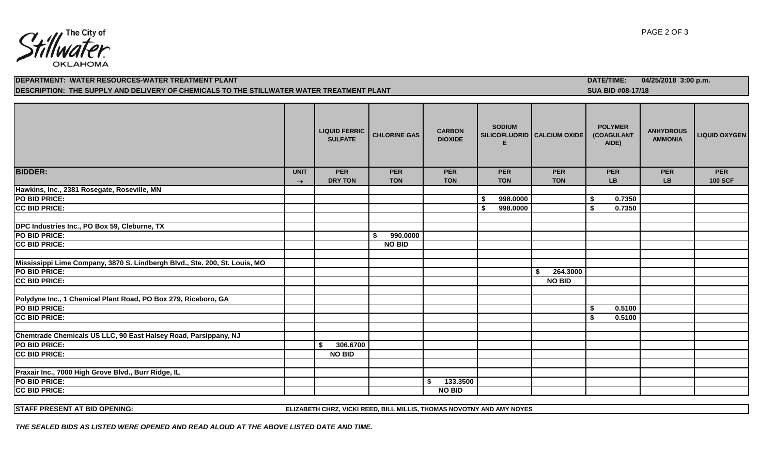

# **DEPARTMENT: WATER RESOURCES-WATER TREATMENT PLANT DATE/TIME: 04/25/2018 3:00 p.m.** DESCRIPTION: THE SUPPLY AND DELIVERY OF CHEMICALS TO THE STILLWATER WATER TREATMENT PLANT<br>
SUA BID #08-17/18

|                                                                            |               | <b>LIQUID FERRIC</b><br><b>SULFATE</b> | <b>CHLORINE GAS</b>      | <b>CARBON</b><br><b>DIOXIDE</b> | <b>SODIUM</b><br>SILICOFLUORID CALCIUM OXIDE<br>Е |    |                          |                         | <b>POLYMER</b><br>(COAGULANT<br>AIDE) | <b>ANHYDROUS</b><br><b>AMMONIA</b> | <b>LIQUID OXYGEN</b>         |
|----------------------------------------------------------------------------|---------------|----------------------------------------|--------------------------|---------------------------------|---------------------------------------------------|----|--------------------------|-------------------------|---------------------------------------|------------------------------------|------------------------------|
| <b>BIDDER:</b>                                                             | <b>UNIT</b>   | <b>PER</b><br><b>DRY TON</b>           | <b>PER</b><br><b>TON</b> | <b>PER</b><br><b>TON</b>        | <b>PER</b><br><b>TON</b>                          |    | <b>PER</b><br><b>TON</b> | <b>PER</b><br><b>LB</b> |                                       | <b>PER</b><br><b>LB</b>            | <b>PER</b><br><b>100 SCF</b> |
| Hawkins, Inc., 2381 Rosegate, Roseville, MN                                | $\rightarrow$ |                                        |                          |                                 |                                                   |    |                          |                         |                                       |                                    |                              |
| PO BID PRICE:                                                              |               |                                        |                          |                                 | 998.0000                                          |    |                          | - \$                    | 0.7350                                |                                    |                              |
| <b>CC BID PRICE:</b>                                                       |               |                                        |                          |                                 | \$<br>998.0000                                    |    |                          | \$                      | 0.7350                                |                                    |                              |
|                                                                            |               |                                        |                          |                                 |                                                   |    |                          |                         |                                       |                                    |                              |
| DPC Industries Inc., PO Box 59, Cleburne, TX                               |               |                                        |                          |                                 |                                                   |    |                          |                         |                                       |                                    |                              |
| PO BID PRICE:                                                              |               |                                        | 990.0000<br>\$           |                                 |                                                   |    |                          |                         |                                       |                                    |                              |
| <b>CC BID PRICE:</b>                                                       |               |                                        | <b>NO BID</b>            |                                 |                                                   |    |                          |                         |                                       |                                    |                              |
|                                                                            |               |                                        |                          |                                 |                                                   |    |                          |                         |                                       |                                    |                              |
| Mississippi Lime Company, 3870 S. Lindbergh Blvd., Ste. 200, St. Louis, MO |               |                                        |                          |                                 |                                                   |    |                          |                         |                                       |                                    |                              |
| PO BID PRICE:                                                              |               |                                        |                          |                                 |                                                   | S. | 264.3000                 |                         |                                       |                                    |                              |
| <b>CC BID PRICE:</b>                                                       |               |                                        |                          |                                 |                                                   |    | <b>NO BID</b>            |                         |                                       |                                    |                              |
|                                                                            |               |                                        |                          |                                 |                                                   |    |                          |                         |                                       |                                    |                              |
| Polydyne Inc., 1 Chemical Plant Road, PO Box 279, Riceboro, GA             |               |                                        |                          |                                 |                                                   |    |                          |                         |                                       |                                    |                              |
| PO BID PRICE:                                                              |               |                                        |                          |                                 |                                                   |    |                          | \$                      | 0.5100                                |                                    |                              |
| <b>CC BID PRICE:</b>                                                       |               |                                        |                          |                                 |                                                   |    |                          | \$                      | 0.5100                                |                                    |                              |
|                                                                            |               |                                        |                          |                                 |                                                   |    |                          |                         |                                       |                                    |                              |
| Chemtrade Chemicals US LLC, 90 East Halsey Road, Parsippany, NJ            |               |                                        |                          |                                 |                                                   |    |                          |                         |                                       |                                    |                              |
| PO BID PRICE:                                                              |               | 306.6700                               |                          |                                 |                                                   |    |                          |                         |                                       |                                    |                              |
| <b>CC BID PRICE:</b>                                                       |               | <b>NO BID</b>                          |                          |                                 |                                                   |    |                          |                         |                                       |                                    |                              |
|                                                                            |               |                                        |                          |                                 |                                                   |    |                          |                         |                                       |                                    |                              |
| Praxair Inc., 7000 High Grove Blvd., Burr Ridge, IL                        |               |                                        |                          |                                 |                                                   |    |                          |                         |                                       |                                    |                              |
| PO BID PRICE:                                                              |               |                                        |                          | 133.3500<br>\$                  |                                                   |    |                          |                         |                                       |                                    |                              |
| <b>CC BID PRICE:</b>                                                       |               |                                        |                          | <b>NO BID</b>                   |                                                   |    |                          |                         |                                       |                                    |                              |

**STAFF PRESENT AT BID OPENING: ELIZABETH CHRZ, VICKI REED, BILL MILLIS, THOMAS NOVOTNY AND AMY NOYES**

*THE SEALED BIDS AS LISTED WERE OPENED AND READ ALOUD AT THE ABOVE LISTED DATE AND TIME.*